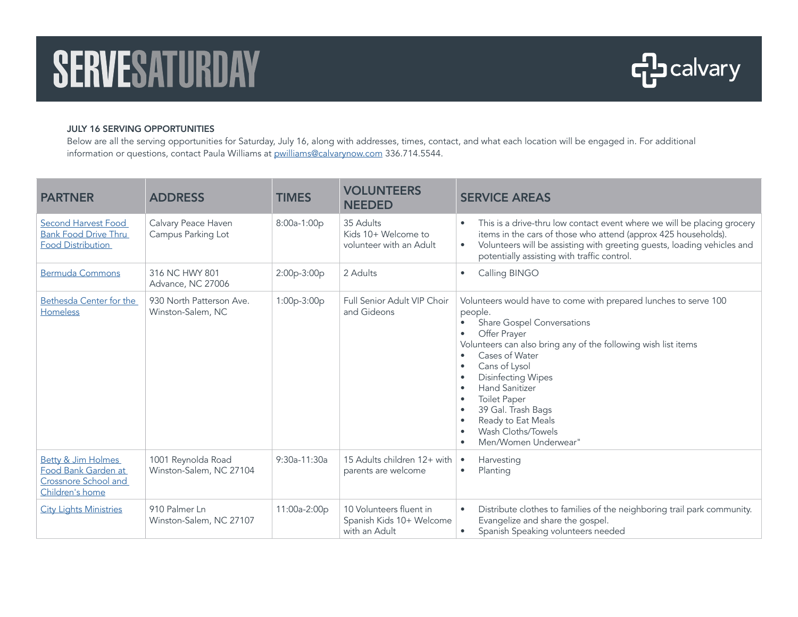## SERVESATURDAY



## JULY 16 SERVING OPPORTUNITIES

Below are all the serving opportunities for Saturday, July 16, along with addresses, times, contact, and what each location will be engaged in. For additional information or questions, contact Paula Williams at [pwilliams@calvarynow.com](mailto:pwilliams@calvarynow.com) 336.714.5544.

| <b>PARTNER</b>                                                                                  | <b>ADDRESS</b>                                | <b>TIMES</b>   | <b>VOLUNTEERS</b><br><b>NEEDED</b>                                   | <b>SERVICE AREAS</b>                                                                                                                                                                                                                                                                                                                                                                                                                        |
|-------------------------------------------------------------------------------------------------|-----------------------------------------------|----------------|----------------------------------------------------------------------|---------------------------------------------------------------------------------------------------------------------------------------------------------------------------------------------------------------------------------------------------------------------------------------------------------------------------------------------------------------------------------------------------------------------------------------------|
| Second Harvest Food<br><b>Bank Food Drive Thru</b><br><b>Food Distribution</b>                  | Calvary Peace Haven<br>Campus Parking Lot     | 8:00a-1:00p    | 35 Adults<br>Kids 10+ Welcome to<br>volunteer with an Adult          | This is a drive-thru low contact event where we will be placing grocery<br>$\bullet$<br>items in the cars of those who attend (approx 425 households).<br>Volunteers will be assisting with greeting guests, loading vehicles and<br>$\bullet$<br>potentially assisting with traffic control.                                                                                                                                               |
| <b>Bermuda Commons</b>                                                                          | 316 NC HWY 801<br>Advance, NC 27006           | 2:00p-3:00p    | 2 Adults                                                             | Calling BINGO<br>$\bullet$                                                                                                                                                                                                                                                                                                                                                                                                                  |
| Bethesda Center for the<br><b>Homeless</b>                                                      | 930 North Patterson Ave.<br>Winston-Salem, NC | $1:00p-3:00p$  | Full Senior Adult VIP Choir<br>and Gideons                           | Volunteers would have to come with prepared lunches to serve 100<br>people.<br><b>Share Gospel Conversations</b><br>$\bullet$<br>Offer Prayer<br>٠<br>Volunteers can also bring any of the following wish list items<br>Cases of Water<br>$\bullet$<br>Cans of Lysol<br><b>Disinfecting Wipes</b><br><b>Hand Sanitizer</b><br><b>Toilet Paper</b><br>39 Gal. Trash Bags<br>Ready to Eat Meals<br>Wash Cloths/Towels<br>Men/Women Underwear" |
| <b>Betty &amp; Jim Holmes</b><br>Food Bank Garden at<br>Crossnore School and<br>Children's home | 1001 Reynolda Road<br>Winston-Salem, NC 27104 | $9:30a-11:30a$ | 15 Adults children 12+ with<br>parents are welcome                   | Harvesting<br>$\bullet$<br>Planting<br>٠                                                                                                                                                                                                                                                                                                                                                                                                    |
| <b>City Lights Ministries</b>                                                                   | 910 Palmer In<br>Winston-Salem, NC 27107      | 11:00a-2:00p   | 10 Volunteers fluent in<br>Spanish Kids 10+ Welcome<br>with an Adult | Distribute clothes to families of the neighboring trail park community.<br>$\bullet$<br>Evangelize and share the gospel.<br>Spanish Speaking volunteers needed<br>$\bullet$                                                                                                                                                                                                                                                                 |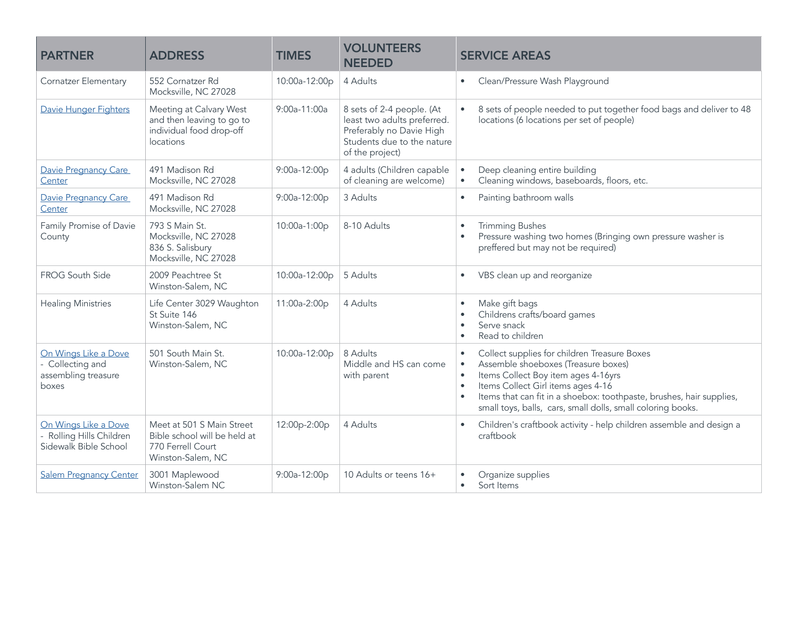| <b>PARTNER</b>                                                          | <b>ADDRESS</b>                                                                                      | <b>TIMES</b>  | <b>VOLUNTEERS</b><br><b>NEEDED</b>                                                                                                    | <b>SERVICE AREAS</b>                                                                                                                                                                                                                                                                                                              |
|-------------------------------------------------------------------------|-----------------------------------------------------------------------------------------------------|---------------|---------------------------------------------------------------------------------------------------------------------------------------|-----------------------------------------------------------------------------------------------------------------------------------------------------------------------------------------------------------------------------------------------------------------------------------------------------------------------------------|
| <b>Cornatzer Elementary</b>                                             | 552 Cornatzer Rd<br>Mocksville, NC 27028                                                            | 10:00a-12:00p | 4 Adults                                                                                                                              | Clean/Pressure Wash Playground<br>$\bullet$                                                                                                                                                                                                                                                                                       |
| Davie Hunger Fighters                                                   | Meeting at Calvary West<br>and then leaving to go to<br>individual food drop-off<br>locations       | 9:00a-11:00a  | 8 sets of 2-4 people. (At<br>least two adults preferred.<br>Preferably no Davie High<br>Students due to the nature<br>of the project) | 8 sets of people needed to put together food bags and deliver to 48<br>$\bullet$<br>locations (6 locations per set of people)                                                                                                                                                                                                     |
| Davie Pregnancy Care<br>Center                                          | 491 Madison Rd<br>Mocksville, NC 27028                                                              | 9:00a-12:00p  | 4 adults (Children capable<br>of cleaning are welcome)                                                                                | Deep cleaning entire building<br>$\bullet$<br>Cleaning windows, baseboards, floors, etc.<br>$\bullet$                                                                                                                                                                                                                             |
| Davie Pregnancy Care<br>Center                                          | 491 Madison Rd<br>Mocksville, NC 27028                                                              | 9:00a-12:00p  | 3 Adults                                                                                                                              | Painting bathroom walls<br>$\bullet$                                                                                                                                                                                                                                                                                              |
| Family Promise of Davie<br>County                                       | 793 S Main St.<br>Mocksville, NC 27028<br>836 S. Salisbury<br>Mocksville, NC 27028                  | 10:00a-1:00p  | 8-10 Adults                                                                                                                           | <b>Trimming Bushes</b><br>Pressure washing two homes (Bringing own pressure washer is<br>$\bullet$<br>preffered but may not be required)                                                                                                                                                                                          |
| FROG South Side                                                         | 2009 Peachtree St<br>Winston-Salem, NC                                                              | 10:00a-12:00p | 5 Adults                                                                                                                              | VBS clean up and reorganize<br>$\bullet$                                                                                                                                                                                                                                                                                          |
| <b>Healing Ministries</b>                                               | Life Center 3029 Waughton<br>St Suite 146<br>Winston-Salem, NC                                      | 11:00a-2:00p  | 4 Adults                                                                                                                              | Make gift bags<br>$\bullet$<br>Childrens crafts/board games<br>Serve snack<br>Read to children                                                                                                                                                                                                                                    |
| On Wings Like a Dove<br>Collecting and<br>assembling treasure<br>boxes  | 501 South Main St.<br>Winston-Salem, NC                                                             | 10:00a-12:00p | 8 Adults<br>Middle and HS can come<br>with parent                                                                                     | Collect supplies for children Treasure Boxes<br>Assemble shoeboxes (Treasure boxes)<br>$\bullet$<br>Items Collect Boy item ages 4-16yrs<br>$\bullet$<br>Items Collect Girl items ages 4-16<br>Items that can fit in a shoebox: toothpaste, brushes, hair supplies,<br>small toys, balls, cars, small dolls, small coloring books. |
| On Wings Like a Dove<br>Rolling Hills Children<br>Sidewalk Bible School | Meet at 501 S Main Street<br>Bible school will be held at<br>770 Ferrell Court<br>Winston-Salem, NC | 12:00p-2:00p  | 4 Adults                                                                                                                              | Children's craftbook activity - help children assemble and design a<br>$\bullet$<br>craftbook                                                                                                                                                                                                                                     |
| <b>Salem Pregnancy Center</b>                                           | 3001 Maplewood<br>Winston-Salem NC                                                                  | 9:00a-12:00p  | 10 Adults or teens 16+                                                                                                                | Organize supplies<br>Sort Items<br>$\bullet$                                                                                                                                                                                                                                                                                      |